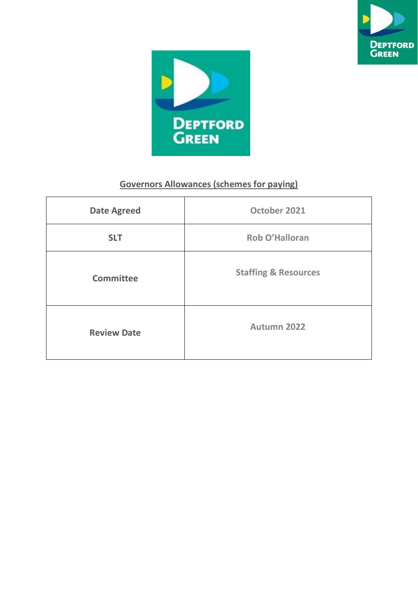



## **Governors Allowances (schemes for paying)**

| <b>Date Agreed</b> | October 2021                    |
|--------------------|---------------------------------|
| <b>SLT</b>         | Rob O'Halloran                  |
| <b>Committee</b>   | <b>Staffing &amp; Resources</b> |
| <b>Review Date</b> | Autumn 2022                     |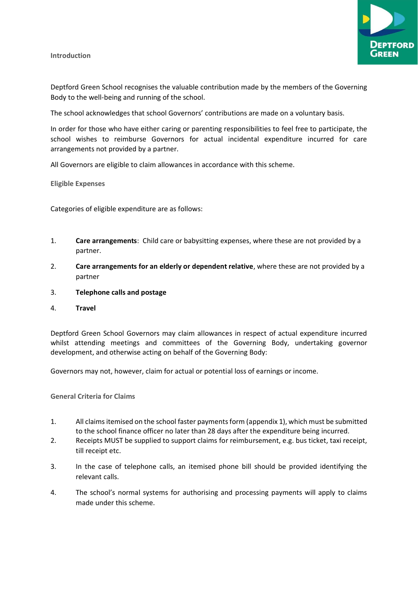**Introduction**



Deptford Green School recognises the valuable contribution made by the members of the Governing Body to the well-being and running of the school.

The school acknowledges that school Governors' contributions are made on a voluntary basis.

In order for those who have either caring or parenting responsibilities to feel free to participate, the school wishes to reimburse Governors for actual incidental expenditure incurred for care arrangements not provided by a partner.

All Governors are eligible to claim allowances in accordance with this scheme.

**Eligible Expenses**

Categories of eligible expenditure are as follows:

- 1. **Care arrangements**: Child care or babysitting expenses, where these are not provided by a partner.
- 2. **Care arrangements for an elderly or dependent relative**, where these are not provided by a partner
- 3. **Telephone calls and postage**
- 4. **Travel**

Deptford Green School Governors may claim allowances in respect of actual expenditure incurred whilst attending meetings and committees of the Governing Body, undertaking governor development, and otherwise acting on behalf of the Governing Body:

Governors may not, however, claim for actual or potential loss of earnings or income.

**General Criteria for Claims**

- 1. All claims itemised on the school faster payments form (appendix 1), which must be submitted to the school finance officer no later than 28 days after the expenditure being incurred.
- 2. Receipts MUST be supplied to support claims for reimbursement, e.g. bus ticket, taxi receipt, till receipt etc.
- 3. In the case of telephone calls, an itemised phone bill should be provided identifying the relevant calls.
- 4. The school's normal systems for authorising and processing payments will apply to claims made under this scheme.